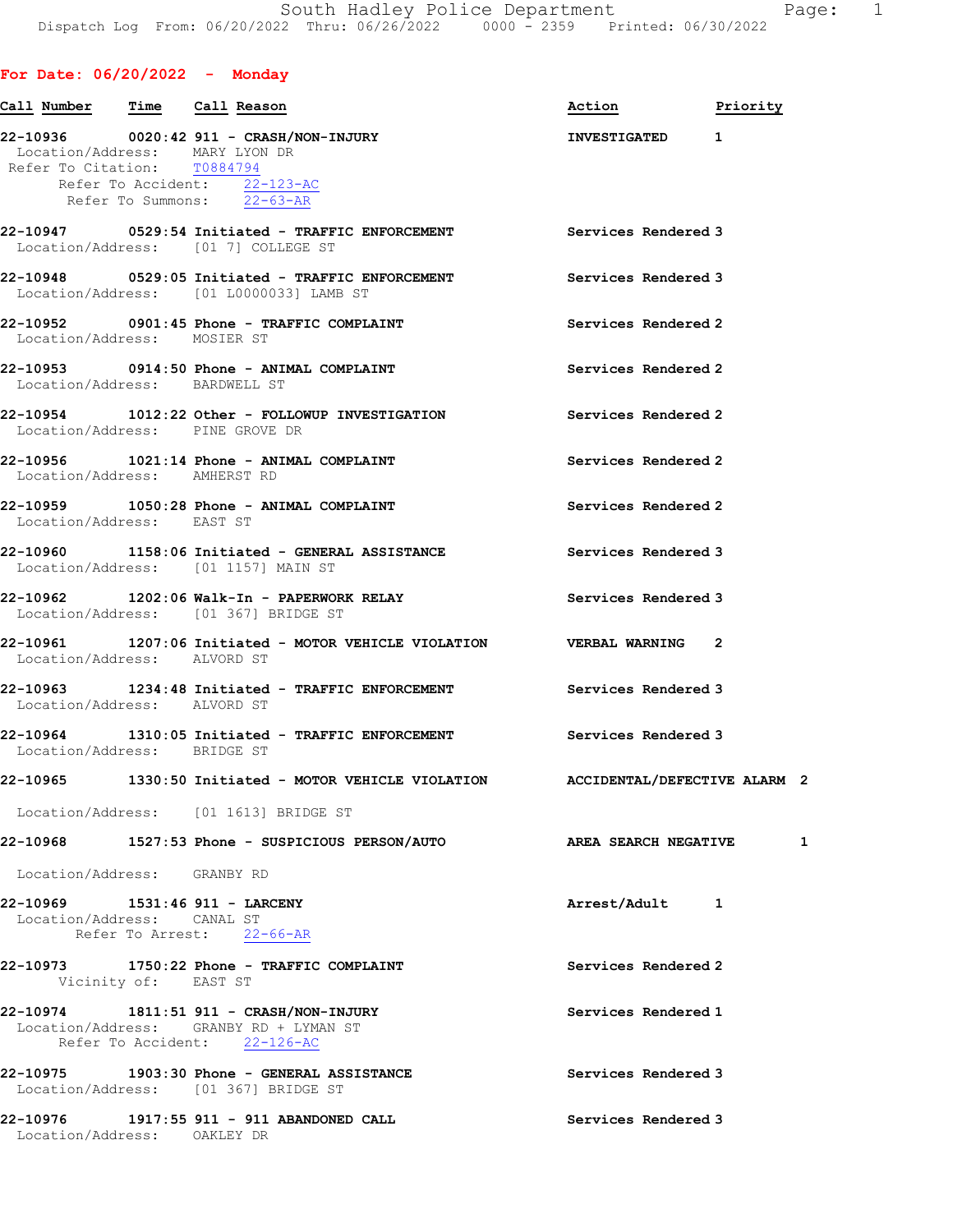## For Date: 06/20/2022 - Monday

|                               | Call Number Time Call Reason                                                                                               | Action<br>Priority        |   |
|-------------------------------|----------------------------------------------------------------------------------------------------------------------------|---------------------------|---|
| Refer To Citation: T0884794   | Location/Address: MARY LYON DR<br>Refer To Accident: 22-123-AC<br>Refer To Summons: 22-63-AR                               | INVESTIGATED <sub>1</sub> |   |
|                               | 22-10947 0529:54 Initiated - TRAFFIC ENFORCEMENT Services Rendered 3<br>Location/Address: [01 7] COLLEGE ST                |                           |   |
|                               | 22-10948 0529:05 Initiated - TRAFFIC ENFORCEMENT Services Rendered 3<br>Location/Address: [01 L0000033] LAMB ST            |                           |   |
| Location/Address: MOSIER ST   | 22-10952 0901:45 Phone - TRAFFIC COMPLAINT                                                                                 | Services Rendered 2       |   |
| Location/Address: BARDWELL ST | 22-10953 0914:50 Phone - ANIMAL COMPLAINT                                                                                  | Services Rendered 2       |   |
|                               | 22-10954 1012:22 Other - FOLLOWUP INVESTIGATION<br>Location/Address: PINE GROVE DR                                         | Services Rendered 2       |   |
| Location/Address: AMHERST RD  | 22-10956 1021:14 Phone - ANIMAL COMPLAINT                                                                                  | Services Rendered 2       |   |
| Location/Address: EAST ST     | 22-10959 1050:28 Phone - ANIMAL COMPLAINT                                                                                  | Services Rendered 2       |   |
|                               | 22-10960 1158:06 Initiated - GENERAL ASSISTANCE<br>Location/Address: [01 1157] MAIN ST                                     | Services Rendered 3       |   |
|                               | 22-10962 1202:06 Walk-In - PAPERWORK RELAY The Services Rendered 3<br>Location/Address: [01 367] BRIDGE ST                 |                           |   |
| Location/Address: ALVORD ST   | 22-10961 1207:06 Initiated - MOTOR VEHICLE VIOLATION VERBAL WARNING 2                                                      |                           |   |
| Location/Address: ALVORD ST   | 22-10963 1234:48 Initiated - TRAFFIC ENFORCEMENT Services Rendered 3                                                       |                           |   |
| Location/Address: BRIDGE ST   | 22-10964 1310:05 Initiated - TRAFFIC ENFORCEMENT Services Rendered 3                                                       |                           |   |
|                               | 22-10965 1330:50 Initiated - MOTOR VEHICLE VIOLATION ACCIDENTAL/DEFECTIVE ALARM 2<br>Location/Address: [01 1613] BRIDGE ST |                           |   |
|                               | 22-10968 1527:53 Phone - SUSPICIOUS PERSON/AUTO <b>AREA SEARCH NEGATIVE</b>                                                |                           | 1 |
| Location/Address: GRANBY RD   |                                                                                                                            |                           |   |
| Location/Address: CANAL ST    | 22-10969 1531:46 911 - LARCENY<br>Refer To Arrest: 22-66-AR                                                                | Arrest/Adult 1            |   |
| Vicinity of: EAST ST          | 22-10973 1750:22 Phone - TRAFFIC COMPLAINT                                                                                 | Services Rendered 2       |   |
|                               | 22-10974 1811:51 911 - CRASH/NON-INJURY<br>Location/Address: GRANBY RD + LYMAN ST<br>Refer To Accident: 22-126-AC          | Services Rendered 1       |   |
|                               | 22-10975 1903:30 Phone - GENERAL ASSISTANCE<br>Location/Address: [01 367] BRIDGE ST                                        | Services Rendered 3       |   |
| Location/Address: OAKLEY DR   | 22-10976 1917:55 911 - 911 ABANDONED CALL                                                                                  | Services Rendered 3       |   |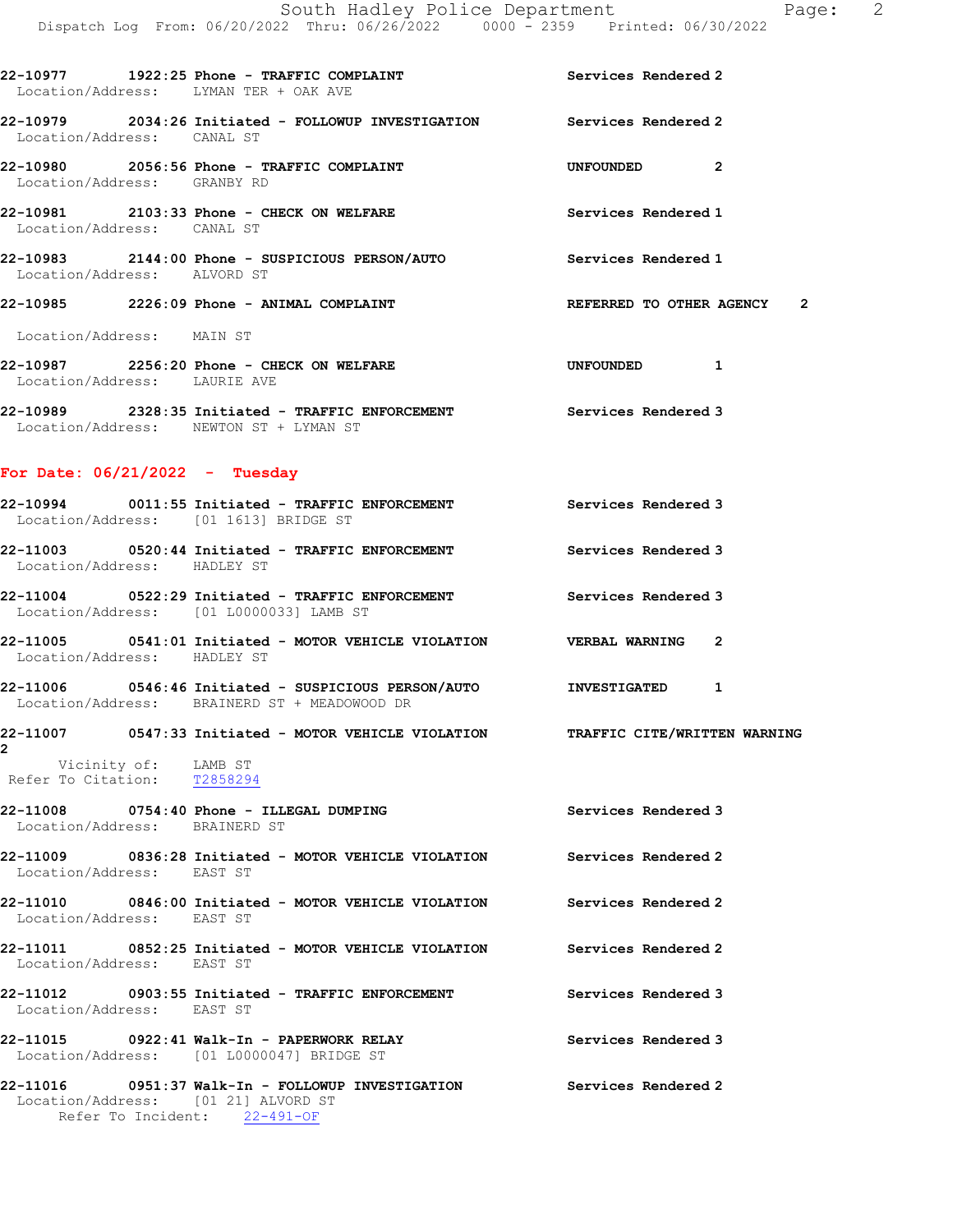| 22-10979 2034:26 Initiated - FOLLOWUP INVESTIGATION Services Rendered 2<br>Location/Address: CANAL ST<br>22-10980 2056:56 Phone - TRAFFIC COMPLAINT<br>UNFOUNDED 2<br>Location/Address: GRANBY RD<br>22-10981 2103:33 Phone - CHECK ON WELFARE<br>Services Rendered 1<br>Location/Address: CANAL ST<br>22-10983 2144:00 Phone - SUSPICIOUS PERSON/AUTO Services Rendered 1<br>Location/Address: ALVORD ST<br>$22-10985$ 2226:09 Phone - ANIMAL COMPLAINT<br>REFERRED TO OTHER AGENCY 2<br>Location/Address: MAIN ST<br>22-10987 2256:20 Phone - CHECK ON WELFARE<br>UNFOUNDED 1<br>Location/Address: LAURIE AVE<br>22-10989 2328:35 Initiated - TRAFFIC ENFORCEMENT Services Rendered 3<br>Location/Address: NEWTON ST + LYMAN ST<br>For Date: $06/21/2022 - Tuesday$<br>22-10994 0011:55 Initiated - TRAFFIC ENFORCEMENT Services Rendered 3<br>Location/Address: [01 1613] BRIDGE ST<br>22-11003 0520:44 Initiated - TRAFFIC ENFORCEMENT Services Rendered 3<br>Location/Address: HADLEY ST<br>22-11004 0522:29 Initiated - TRAFFIC ENFORCEMENT Services Rendered 3<br>Location/Address: [01 L0000033] LAMB ST<br>22-11005 0541:01 Initiated - MOTOR VEHICLE VIOLATION VERBAL WARNING 2<br>Location/Address: HADLEY ST<br>22-11006 0546:46 Initiated - SUSPICIOUS PERSON/AUTO 1 INVESTIGATED 1<br>Location/Address: BRAINERD ST + MEADOWOOD DR<br>22-11007 0547:33 Initiated - MOTOR VEHICLE VIOLATION TRAFFIC CITE/WRITTEN WARNING<br>2<br>Vicinity of: LAMB ST<br>Refer To Citation: T2858294<br>22-11008 0754:40 Phone - ILLEGAL DUMPING<br>Services Rendered 3<br>Location/Address: BRAINERD ST<br>22-11009 0836:28 Initiated - MOTOR VEHICLE VIOLATION Services Rendered 2<br>Location/Address: EAST ST<br>22-11010 0846:00 Initiated - MOTOR VEHICLE VIOLATION Services Rendered 2<br>Location/Address: EAST ST<br>22-11011 0852:25 Initiated - MOTOR VEHICLE VIOLATION Services Rendered 2<br>Location/Address: EAST ST<br>22-11012 0903:55 Initiated - TRAFFIC ENFORCEMENT Services Rendered 3<br>Location/Address: EAST ST | Location/Address: LYMAN TER + OAK AVE | 22-10977 1922:25 Phone - TRAFFIC COMPLAINT Services Rendered 2 |  |
|---------------------------------------------------------------------------------------------------------------------------------------------------------------------------------------------------------------------------------------------------------------------------------------------------------------------------------------------------------------------------------------------------------------------------------------------------------------------------------------------------------------------------------------------------------------------------------------------------------------------------------------------------------------------------------------------------------------------------------------------------------------------------------------------------------------------------------------------------------------------------------------------------------------------------------------------------------------------------------------------------------------------------------------------------------------------------------------------------------------------------------------------------------------------------------------------------------------------------------------------------------------------------------------------------------------------------------------------------------------------------------------------------------------------------------------------------------------------------------------------------------------------------------------------------------------------------------------------------------------------------------------------------------------------------------------------------------------------------------------------------------------------------------------------------------------------------------------------------------------------------------------------------------------------------------------------------------------------------------------------------------------------------------------|---------------------------------------|----------------------------------------------------------------|--|
|                                                                                                                                                                                                                                                                                                                                                                                                                                                                                                                                                                                                                                                                                                                                                                                                                                                                                                                                                                                                                                                                                                                                                                                                                                                                                                                                                                                                                                                                                                                                                                                                                                                                                                                                                                                                                                                                                                                                                                                                                                       |                                       |                                                                |  |
|                                                                                                                                                                                                                                                                                                                                                                                                                                                                                                                                                                                                                                                                                                                                                                                                                                                                                                                                                                                                                                                                                                                                                                                                                                                                                                                                                                                                                                                                                                                                                                                                                                                                                                                                                                                                                                                                                                                                                                                                                                       |                                       |                                                                |  |
|                                                                                                                                                                                                                                                                                                                                                                                                                                                                                                                                                                                                                                                                                                                                                                                                                                                                                                                                                                                                                                                                                                                                                                                                                                                                                                                                                                                                                                                                                                                                                                                                                                                                                                                                                                                                                                                                                                                                                                                                                                       |                                       |                                                                |  |
|                                                                                                                                                                                                                                                                                                                                                                                                                                                                                                                                                                                                                                                                                                                                                                                                                                                                                                                                                                                                                                                                                                                                                                                                                                                                                                                                                                                                                                                                                                                                                                                                                                                                                                                                                                                                                                                                                                                                                                                                                                       |                                       |                                                                |  |
|                                                                                                                                                                                                                                                                                                                                                                                                                                                                                                                                                                                                                                                                                                                                                                                                                                                                                                                                                                                                                                                                                                                                                                                                                                                                                                                                                                                                                                                                                                                                                                                                                                                                                                                                                                                                                                                                                                                                                                                                                                       |                                       |                                                                |  |
|                                                                                                                                                                                                                                                                                                                                                                                                                                                                                                                                                                                                                                                                                                                                                                                                                                                                                                                                                                                                                                                                                                                                                                                                                                                                                                                                                                                                                                                                                                                                                                                                                                                                                                                                                                                                                                                                                                                                                                                                                                       |                                       |                                                                |  |
|                                                                                                                                                                                                                                                                                                                                                                                                                                                                                                                                                                                                                                                                                                                                                                                                                                                                                                                                                                                                                                                                                                                                                                                                                                                                                                                                                                                                                                                                                                                                                                                                                                                                                                                                                                                                                                                                                                                                                                                                                                       |                                       |                                                                |  |
|                                                                                                                                                                                                                                                                                                                                                                                                                                                                                                                                                                                                                                                                                                                                                                                                                                                                                                                                                                                                                                                                                                                                                                                                                                                                                                                                                                                                                                                                                                                                                                                                                                                                                                                                                                                                                                                                                                                                                                                                                                       |                                       |                                                                |  |
|                                                                                                                                                                                                                                                                                                                                                                                                                                                                                                                                                                                                                                                                                                                                                                                                                                                                                                                                                                                                                                                                                                                                                                                                                                                                                                                                                                                                                                                                                                                                                                                                                                                                                                                                                                                                                                                                                                                                                                                                                                       |                                       |                                                                |  |
|                                                                                                                                                                                                                                                                                                                                                                                                                                                                                                                                                                                                                                                                                                                                                                                                                                                                                                                                                                                                                                                                                                                                                                                                                                                                                                                                                                                                                                                                                                                                                                                                                                                                                                                                                                                                                                                                                                                                                                                                                                       |                                       |                                                                |  |
|                                                                                                                                                                                                                                                                                                                                                                                                                                                                                                                                                                                                                                                                                                                                                                                                                                                                                                                                                                                                                                                                                                                                                                                                                                                                                                                                                                                                                                                                                                                                                                                                                                                                                                                                                                                                                                                                                                                                                                                                                                       |                                       |                                                                |  |
|                                                                                                                                                                                                                                                                                                                                                                                                                                                                                                                                                                                                                                                                                                                                                                                                                                                                                                                                                                                                                                                                                                                                                                                                                                                                                                                                                                                                                                                                                                                                                                                                                                                                                                                                                                                                                                                                                                                                                                                                                                       |                                       |                                                                |  |
|                                                                                                                                                                                                                                                                                                                                                                                                                                                                                                                                                                                                                                                                                                                                                                                                                                                                                                                                                                                                                                                                                                                                                                                                                                                                                                                                                                                                                                                                                                                                                                                                                                                                                                                                                                                                                                                                                                                                                                                                                                       |                                       |                                                                |  |
|                                                                                                                                                                                                                                                                                                                                                                                                                                                                                                                                                                                                                                                                                                                                                                                                                                                                                                                                                                                                                                                                                                                                                                                                                                                                                                                                                                                                                                                                                                                                                                                                                                                                                                                                                                                                                                                                                                                                                                                                                                       |                                       |                                                                |  |
|                                                                                                                                                                                                                                                                                                                                                                                                                                                                                                                                                                                                                                                                                                                                                                                                                                                                                                                                                                                                                                                                                                                                                                                                                                                                                                                                                                                                                                                                                                                                                                                                                                                                                                                                                                                                                                                                                                                                                                                                                                       |                                       |                                                                |  |
|                                                                                                                                                                                                                                                                                                                                                                                                                                                                                                                                                                                                                                                                                                                                                                                                                                                                                                                                                                                                                                                                                                                                                                                                                                                                                                                                                                                                                                                                                                                                                                                                                                                                                                                                                                                                                                                                                                                                                                                                                                       |                                       |                                                                |  |
|                                                                                                                                                                                                                                                                                                                                                                                                                                                                                                                                                                                                                                                                                                                                                                                                                                                                                                                                                                                                                                                                                                                                                                                                                                                                                                                                                                                                                                                                                                                                                                                                                                                                                                                                                                                                                                                                                                                                                                                                                                       |                                       |                                                                |  |
|                                                                                                                                                                                                                                                                                                                                                                                                                                                                                                                                                                                                                                                                                                                                                                                                                                                                                                                                                                                                                                                                                                                                                                                                                                                                                                                                                                                                                                                                                                                                                                                                                                                                                                                                                                                                                                                                                                                                                                                                                                       |                                       |                                                                |  |
|                                                                                                                                                                                                                                                                                                                                                                                                                                                                                                                                                                                                                                                                                                                                                                                                                                                                                                                                                                                                                                                                                                                                                                                                                                                                                                                                                                                                                                                                                                                                                                                                                                                                                                                                                                                                                                                                                                                                                                                                                                       |                                       |                                                                |  |
|                                                                                                                                                                                                                                                                                                                                                                                                                                                                                                                                                                                                                                                                                                                                                                                                                                                                                                                                                                                                                                                                                                                                                                                                                                                                                                                                                                                                                                                                                                                                                                                                                                                                                                                                                                                                                                                                                                                                                                                                                                       |                                       |                                                                |  |
|                                                                                                                                                                                                                                                                                                                                                                                                                                                                                                                                                                                                                                                                                                                                                                                                                                                                                                                                                                                                                                                                                                                                                                                                                                                                                                                                                                                                                                                                                                                                                                                                                                                                                                                                                                                                                                                                                                                                                                                                                                       |                                       |                                                                |  |
| $22-11015$ 0922:41 Walk-In - PAPERWORK RELAY<br>Services Rendered 3<br>Location/Address: [01 L0000047] BRIDGE ST                                                                                                                                                                                                                                                                                                                                                                                                                                                                                                                                                                                                                                                                                                                                                                                                                                                                                                                                                                                                                                                                                                                                                                                                                                                                                                                                                                                                                                                                                                                                                                                                                                                                                                                                                                                                                                                                                                                      |                                       |                                                                |  |
| 22-11016 0951:37 Walk-In - FOLLOWUP INVESTIGATION Services Rendered 2<br>Location/Address: [01 21] ALVORD ST<br>Refer To Incident: 22-491-OF                                                                                                                                                                                                                                                                                                                                                                                                                                                                                                                                                                                                                                                                                                                                                                                                                                                                                                                                                                                                                                                                                                                                                                                                                                                                                                                                                                                                                                                                                                                                                                                                                                                                                                                                                                                                                                                                                          |                                       |                                                                |  |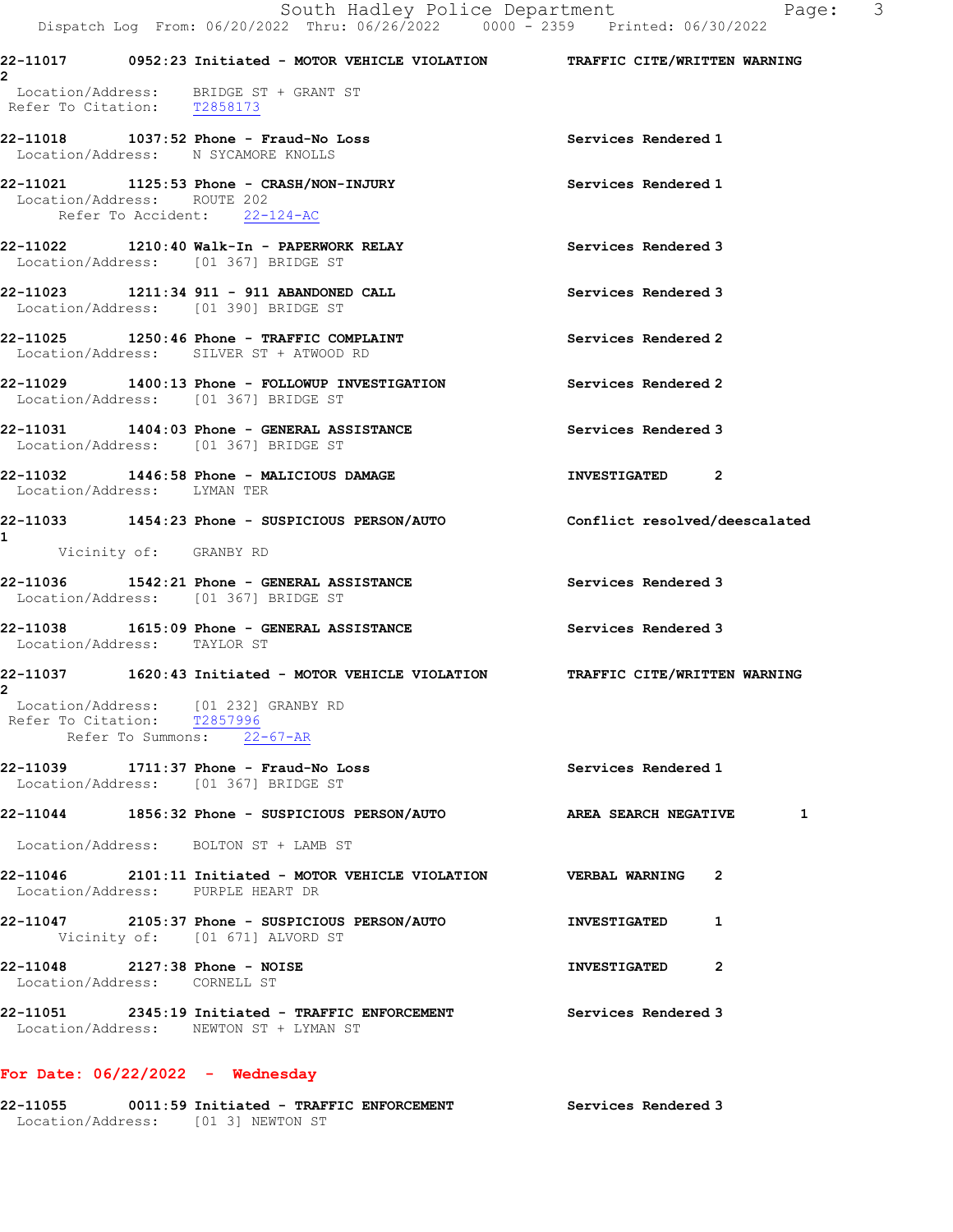|  | From: 06/20/2022 Thru: 06/26/2022 |  | $0000 - 2359$ Printed: $06/30/2022$ |
|--|-----------------------------------|--|-------------------------------------|
|  |                                   |  |                                     |

| 22-11017<br>2                           |                                           |                                                         | 0952:23 Initiated - MOTOR VEHICLE VIOLATION | TRAFFIC CITE/WRITTEN WARNING |  |
|-----------------------------------------|-------------------------------------------|---------------------------------------------------------|---------------------------------------------|------------------------------|--|
| Location/Address:<br>Refer To Citation: | T2858173                                  | BRIDGE ST + GRANT ST                                    |                                             |                              |  |
| 22-11018<br>Location/Address:           |                                           | 1037:52 Phone - Fraud-No Loss<br>N SYCAMORE KNOLLS      |                                             | Services Rendered 1          |  |
| Location/Address:                       | ROUTE 202<br>Refer To Accident: 22-124-AC |                                                         |                                             | Services Rendered 1          |  |
| 22-11022<br>Location/Address:           |                                           | 1210:40 Walk-In - PAPERWORK RELAY<br>[01 367] BRIDGE ST |                                             | Services Rendered 3          |  |

- 22-11023 1211:34 911 911 ABANDONED CALL Services Rendered 3 Location/Address: [01 390] BRIDGE ST
- 22-11025 1250:46 Phone TRAFFIC COMPLAINT Services Rendered 2 Location/Address: SILVER ST + ATWOOD RD
- 22-11029 1400:13 Phone FOLLOWUP INVESTIGATION Services Rendered 2 Location/Address: [01 367] BRIDGE ST
- 22-11031 1404:03 Phone GENERAL ASSISTANCE Services Rendered 3 Location/Address: [01 367] BRIDGE ST
- 22-11032 1446:58 Phone MALICIOUS DAMAGE **INVESTIGATED** 2 Location/Address: LYMAN TER
- 22-11033 1454:23 Phone SUSPICIOUS PERSON/AUTO Conflict resolved/deescalated 1 Vicinity of: GRANBY RD
- 22-11036 1542:21 Phone GENERAL ASSISTANCE Services Rendered 3 Location/Address: [01 367] BRIDGE ST
- 22-11038 1615:09 Phone GENERAL ASSISTANCE Services Rendered 3 Location/Address: TAYLOR ST
- 22-11037 1620:43 Initiated MOTOR VEHICLE VIOLATION TRAFFIC CITE/WRITTEN WARNING 2 Location/Address: [01 232] GRANBY RD Refer To Citation: T2857996 Refer To Summons: 22-67-AR
- 22-11039 1711:37 Phone Fraud-No Loss Services Rendered 1 Location/Address: [01 367] BRIDGE ST
- 22-11044 1856:32 Phone SUSPICIOUS PERSON/AUTO AREA SEARCH NEGATIVE 1
- Location/Address: BOLTON ST + LAMB ST
- 22-11046 2101:11 Initiated MOTOR VEHICLE VIOLATION VERBAL WARNING 2 Location/Address: PURPLE HEART DR
- 22-11047 2105:37 Phone SUSPICIOUS PERSON/AUTO INVESTIGATED 1 Vicinity of: [01 671] ALVORD ST 22-11048 2127:38 Phone - NOISE 22-11048 INVESTIGATED
- Location/Address: CORNELL ST
- 22-11051 2345:19 Initiated TRAFFIC ENFORCEMENT Services Rendered 3 Location/Address: NEWTON ST + LYMAN ST

## For Date: 06/22/2022 - Wednesday

22-11055 0011:59 Initiated - TRAFFIC ENFORCEMENT Services Rendered 3 Location/Address: [01 3] NEWTON ST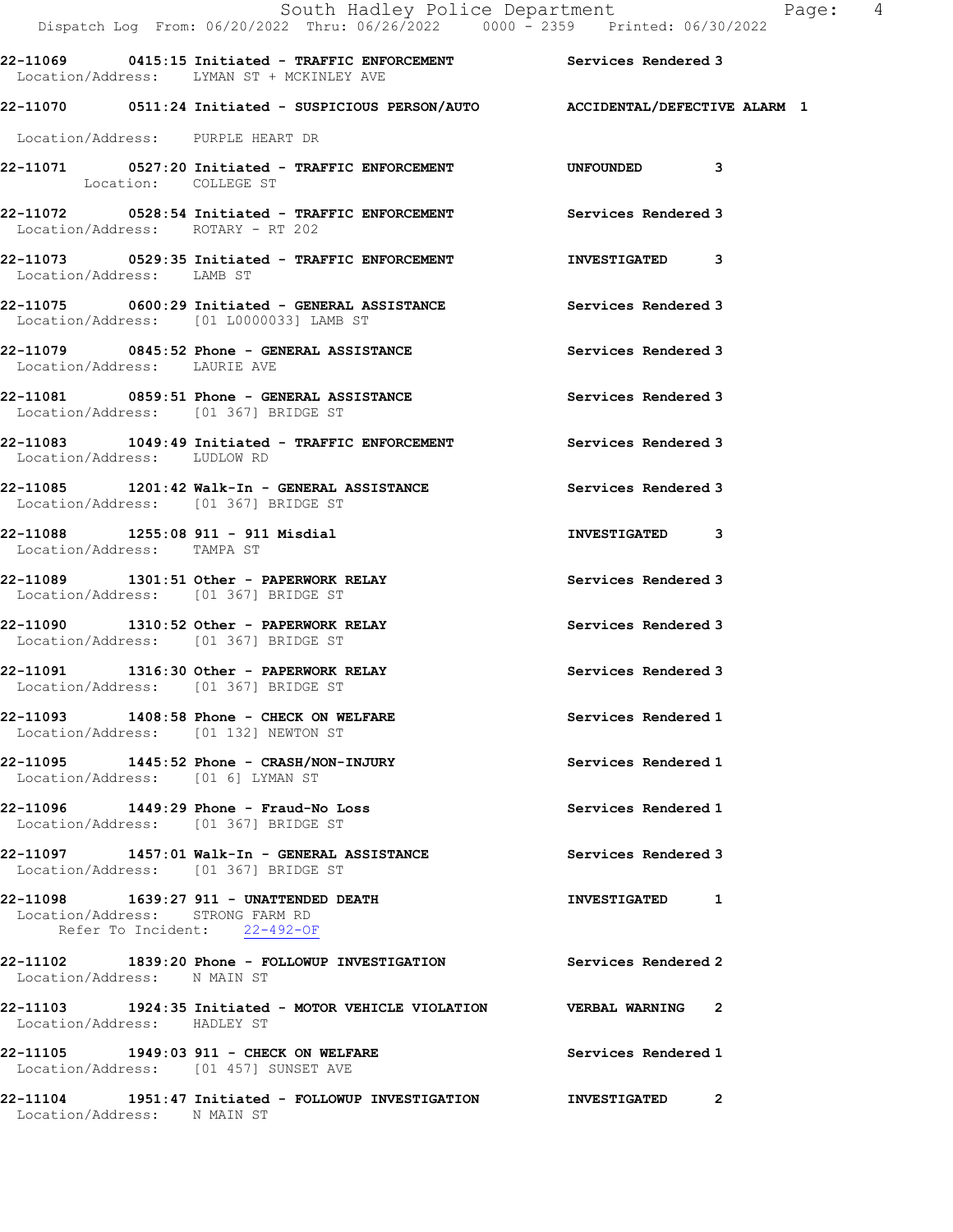|                                         | South Hadley Police Department                                                                                    | Page: 4                   |
|-----------------------------------------|-------------------------------------------------------------------------------------------------------------------|---------------------------|
|                                         | 22-11069 0415:15 Initiated - TRAFFIC ENFORCEMENT Services Rendered 3<br>Location/Address: LYMAN ST + MCKINLEY AVE |                           |
|                                         | 22-11070 0511:24 Initiated - SUSPICIOUS PERSON/AUTO ACCIDENTAL/DEFECTIVE ALARM 1                                  |                           |
| Location/Address: PURPLE HEART DR       |                                                                                                                   |                           |
| Location: COLLEGE ST                    | 22-11071 0527:20 Initiated - TRAFFIC ENFORCEMENT UNFOUNDED 3                                                      |                           |
| Location/Address: ROTARY - RT 202       | 22-11072 		 0528:54 Initiated - TRAFFIC ENFORCEMENT 		 Services Rendered 3                                        |                           |
| Location/Address: LAMB ST               | 22-11073 0529:35 Initiated - TRAFFIC ENFORCEMENT                                                                  | INVESTIGATED 3            |
| Location/Address: [01 L0000033] LAMB ST | 22-11075 0600:29 Initiated - GENERAL ASSISTANCE Services Rendered 3                                               |                           |
| Location/Address: LAURIE AVE            | 22-11079 0845:52 Phone - GENERAL ASSISTANCE                                                                       | Services Rendered 3       |
| Location/Address: [01 367] BRIDGE ST    | 22-11081 0859:51 Phone - GENERAL ASSISTANCE                                                                       | Services Rendered 3       |
| Location/Address: LUDLOW RD             | 22-11083 1049:49 Initiated - TRAFFIC ENFORCEMENT Services Rendered 3                                              |                           |
| Location/Address: [01 367] BRIDGE ST    | 22-11085 1201:42 Walk-In - GENERAL ASSISTANCE Services Rendered 3                                                 |                           |
| Location/Address: TAMPA ST              | 22-11088 1255:08 911 - 911 Misdial                                                                                | INVESTIGATED 3            |
| Location/Address: [01 367] BRIDGE ST    | 22-11089 1301:51 Other - PAPERWORK RELAY                                                                          | Services Rendered 3       |
| Location/Address: [01 367] BRIDGE ST    | 22-11090 1310:52 Other - PAPERWORK RELAY                                                                          | Services Rendered 3       |
| Location/Address: [01 367] BRIDGE ST    | 22-11091 1316:30 Other - PAPERWORK RELAY                                                                          | Services Rendered 3       |
| Location/Address: [01 132] NEWTON ST    | 22-11093 1408:58 Phone - CHECK ON WELFARE                                                                         | Services Rendered 1       |
| Location/Address: [01 6] LYMAN ST       | 22-11095 1445:52 Phone - CRASH/NON-INJURY                                                                         | Services Rendered 1       |
| Location/Address: [01 367] BRIDGE ST    |                                                                                                                   | Services Rendered 1       |
| Location/Address: [01 367] BRIDGE ST    |                                                                                                                   | Services Rendered 3       |
| Location/Address: STRONG FARM RD        | 22-11098   1639:27   911 - UNATTENDED DEATH<br>Refer To Incident: 22-492-OF                                       | INVESTIGATED 1            |
| Location/Address: N MAIN ST             | 22-11102 1839:20 Phone - FOLLOWUP INVESTIGATION Services Rendered 2                                               |                           |
| Location/Address: HADLEY ST             | 22-11103 1924:35 Initiated - MOTOR VEHICLE VIOLATION VERBAL WARNING 2                                             |                           |
| Location/Address: [01 457] SUNSET AVE   | 22-11105 1949:03 911 - CHECK ON WELFARE                                                                           | Services Rendered 1       |
|                                         |                                                                                                                   | INVESTIGATED <sub>2</sub> |

Location/Address: N MAIN ST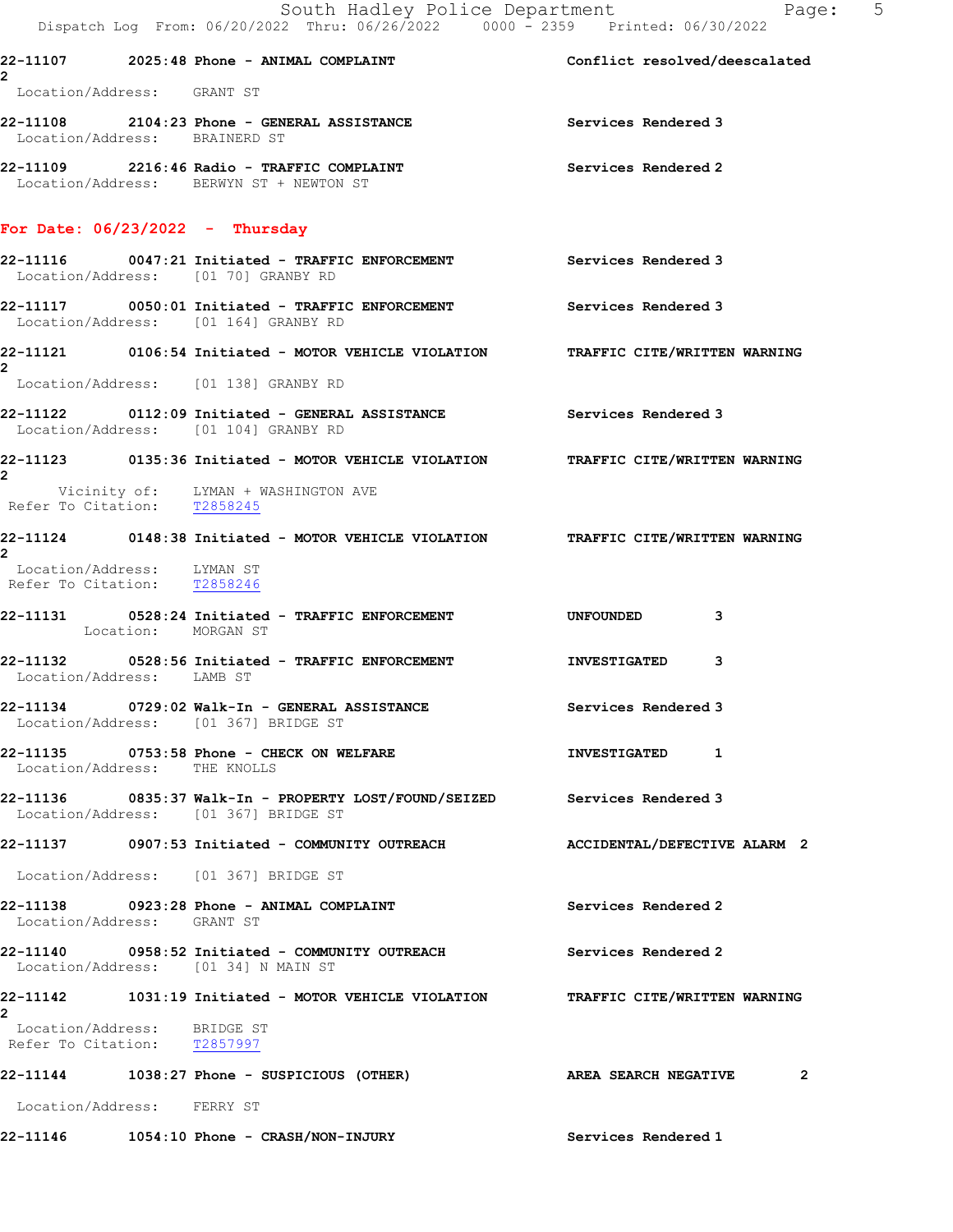|                |                                                            | South Hadley Police Department<br>Dispatch Log From: 06/20/2022 Thru: 06/26/2022 0000 - 2359 Printed: 06/30/2022  | Page: 5                      |
|----------------|------------------------------------------------------------|-------------------------------------------------------------------------------------------------------------------|------------------------------|
|                |                                                            | 22-11107 2025:48 Phone - ANIMAL COMPLAINT COMERT Conflict resolved/deescalated                                    |                              |
| $\mathbf{2}$   | Location/Address: GRANT ST                                 |                                                                                                                   |                              |
|                | Location/Address: BRAINERD ST                              | 22-11108 2104:23 Phone - GENERAL ASSISTANCE                                                                       | Services Rendered 3          |
|                |                                                            | 22-11109 2216:46 Radio - TRAFFIC COMPLAINT<br>Location/Address: BERWYN ST + NEWTON ST                             | Services Rendered 2          |
|                |                                                            | For Date: $06/23/2022 - Thursday$                                                                                 |                              |
|                |                                                            | 22-11116 0047:21 Initiated - TRAFFIC ENFORCEMENT Services Rendered 3<br>Location/Address: [01 70] GRANBY RD       |                              |
|                |                                                            | 22-11117 0050:01 Initiated - TRAFFIC ENFORCEMENT Services Rendered 3<br>Location/Address: [01 164] GRANBY RD      |                              |
| 2              |                                                            | 22-11121 0106:54 Initiated - MOTOR VEHICLE VIOLATION TRAFFIC CITE/WRITTEN WARNING                                 |                              |
|                |                                                            | Location/Address: [01 138] GRANBY RD                                                                              |                              |
|                |                                                            | 22-11122 0112:09 Initiated - GENERAL ASSISTANCE Services Rendered 3<br>Location/Address: [01 104] GRANBY RD       |                              |
| $\overline{2}$ |                                                            | 22-11123 0135:36 Initiated - MOTOR VEHICLE VIOLATION TRAFFIC CITE/WRITTEN WARNING                                 |                              |
|                |                                                            | Vicinity of: LYMAN + WASHINGTON AVE<br>Refer To Citation: $\frac{T2858245}{T2858245}$                             |                              |
| $\overline{2}$ |                                                            | 22-11124 0148:38 Initiated - MOTOR VEHICLE VIOLATION TRAFFIC CITE/WRITTEN WARNING                                 |                              |
|                | Location/Address: LYMAN ST<br>Refer To Citation: T2858246  |                                                                                                                   |                              |
|                | Location: MORGAN ST                                        | 22-11131 0528:24 Initiated - TRAFFIC ENFORCEMENT                                                                  | <b>UNFOUNDED</b><br>3        |
|                | Location/Address: LAMB ST                                  | 22-11132 0528:56 Initiated - TRAFFIC ENFORCEMENT                                                                  | <b>INVESTIGATED</b><br>3     |
|                |                                                            | 22-11134 0729:02 Walk-In - GENERAL ASSISTANCE<br>Location/Address: [01 367] BRIDGE ST                             | Services Rendered 3          |
|                | Location/Address: THE KNOLLS                               | 22-11135 0753:58 Phone - CHECK ON WELFARE                                                                         | INVESTIGATED 1               |
|                |                                                            | 22-11136 0835:37 Walk-In - PROPERTY LOST/FOUND/SEIZED Services Rendered 3<br>Location/Address: [01 367] BRIDGE ST |                              |
|                |                                                            |                                                                                                                   | ACCIDENTAL/DEFECTIVE ALARM 2 |
|                |                                                            | Location/Address: [01 367] BRIDGE ST                                                                              |                              |
|                | Location/Address: GRANT ST                                 | $22-11138$ 0923:28 Phone - ANIMAL COMPLAINT                                                                       | Services Rendered 2          |
|                |                                                            | Location/Address: [01 34] N MAIN ST                                                                               | Services Rendered 2          |
| $\mathbf{2}$   |                                                            | 22-11142 1031:19 Initiated - MOTOR VEHICLE VIOLATION TRAFFIC CITE/WRITTEN WARNING                                 |                              |
|                | Location/Address: BRIDGE ST<br>Refer To Citation: T2857997 |                                                                                                                   |                              |
|                |                                                            |                                                                                                                   | AREA SEARCH NEGATIVE<br>2    |
|                | Location/Address: FERRY ST                                 |                                                                                                                   |                              |
|                |                                                            |                                                                                                                   |                              |

22-11146 1054:10 Phone - CRASH/NON-INJURY Services Rendered 1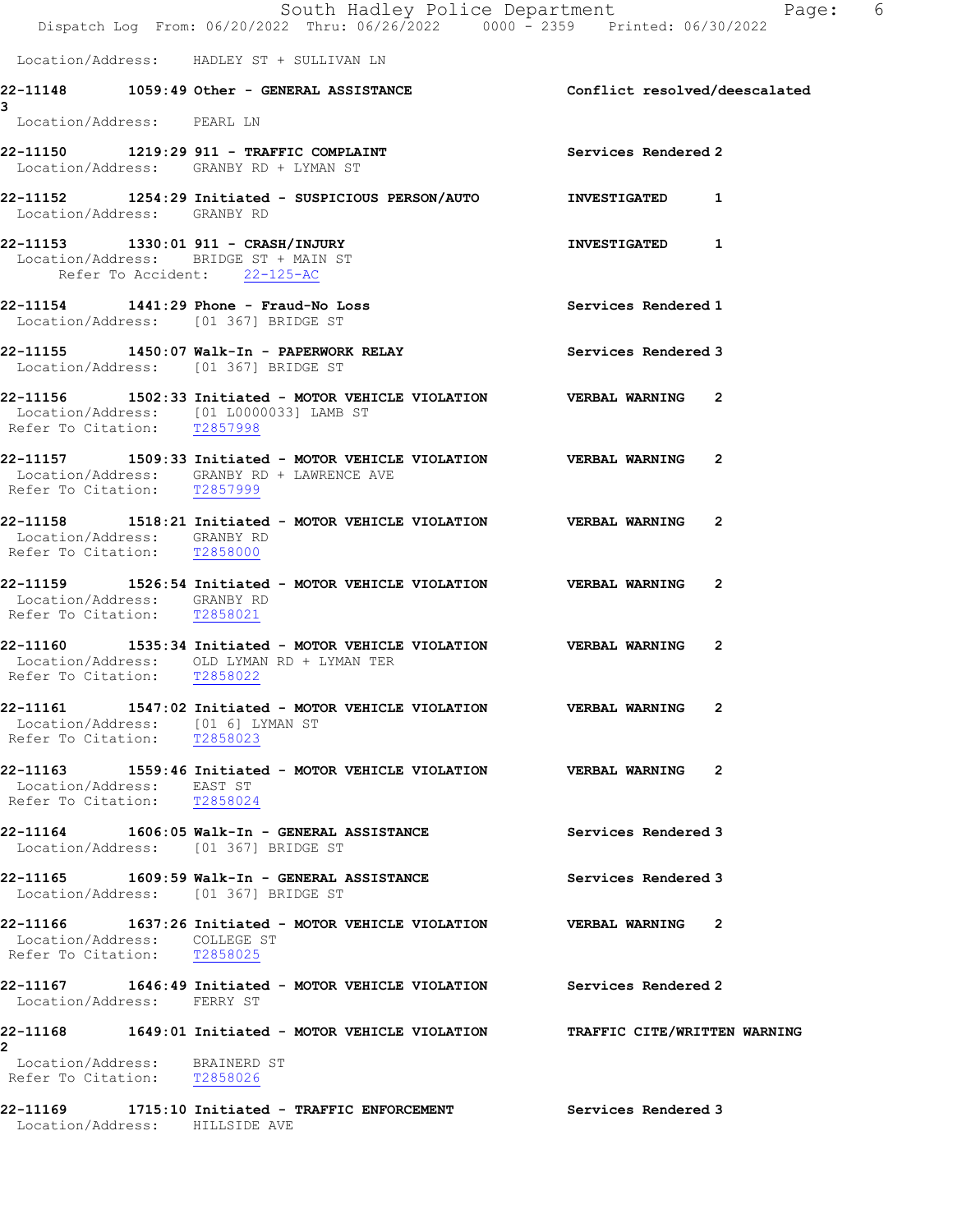|                                                                  | South Hadley Police Department<br>Dispatch Log From: 06/20/2022 Thru: 06/26/2022 0000 - 2359 Printed: 06/30/2022    |                     | Page: 6        |
|------------------------------------------------------------------|---------------------------------------------------------------------------------------------------------------------|---------------------|----------------|
|                                                                  | Location/Address: HADLEY ST + SULLIVAN LN                                                                           |                     |                |
|                                                                  | 22-11148 1059:49 Other - GENERAL ASSISTANCE <b>120 Conflict resolved/deescalated</b>                                |                     |                |
| 3<br>Location/Address: PEARL LN                                  |                                                                                                                     |                     |                |
|                                                                  | 22-11150 1219:29 911 - TRAFFIC COMPLAINT<br>Location/Address: GRANBY RD + LYMAN ST                                  | Services Rendered 2 |                |
| Location/Address: GRANBY RD                                      |                                                                                                                     |                     |                |
|                                                                  | 22-11153  1330:01 911 - CRASH/INJURY<br>Location/Address: BRIDGE ST + MAIN ST<br>Refer To Accident: 22-125-AC       | INVESTIGATED 1      |                |
|                                                                  | 22-11154   1441:29   Phone - Fraud-No Loss<br>Location/Address: [01 367] BRIDGE ST                                  | Services Rendered 1 |                |
|                                                                  | Location/Address: [01 367] BRIDGE ST                                                                                | Services Rendered 3 |                |
| Refer To Citation: T2857998                                      | 22-11156 1502:33 Initiated - MOTOR VEHICLE VIOLATION VERBAL WARNING 2<br>Location/Address: [01 L0000033] LAMB ST    |                     |                |
| Refer To Citation: T2857999                                      | 22-11157 1509:33 Initiated - MOTOR VEHICLE VIOLATION VERBAL WARNING 2<br>Location/Address: GRANBY RD + LAWRENCE AVE |                     |                |
| Location/Address: GRANBY RD<br>Refer To Citation: T2858000       | 22-11158 1518:21 Initiated - MOTOR VEHICLE VIOLATION VERBAL WARNING                                                 |                     | $\overline{2}$ |
| Location/Address: GRANBY RD<br>Refer To Citation: T2858021       | 22-11159 1526:54 Initiated - MOTOR VEHICLE VIOLATION VERBAL WARNING 2                                               |                     |                |
| Refer To Citation: T2858022                                      | 22-11160 1535:34 Initiated - MOTOR VEHICLE VIOLATION VERBAL WARNING 2<br>Location/Address: OLD LYMAN RD + LYMAN TER |                     |                |
| Location/Address: [01 6] LYMAN ST<br>Refer To Citation: T2858023 | 22-11161  1547:02 Initiated - MOTOR VEHICLE VIOLATION  VERBAL WARNING                                               |                     | $\overline{2}$ |
| Location/Address: EAST ST<br>Refer To Citation: T2858024         | 22-11163 1559:46 Initiated - MOTOR VEHICLE VIOLATION VERBAL WARNING 2                                               |                     |                |
|                                                                  | 22-11164 1606:05 Walk-In - GENERAL ASSISTANCE<br>Location/Address: [01 367] BRIDGE ST                               | Services Rendered 3 |                |
|                                                                  | 22-11165 1609:59 Walk-In - GENERAL ASSISTANCE<br>Location/Address: [01 367] BRIDGE ST                               | Services Rendered 3 |                |
| Location/Address: COLLEGE ST<br>Refer To Citation: T2858025      | 22-11166 1637:26 Initiated - MOTOR VEHICLE VIOLATION VERBAL WARNING 2                                               |                     |                |
| Location/Address: FERRY ST                                       | 22-11167 1646:49 Initiated - MOTOR VEHICLE VIOLATION Services Rendered 2                                            |                     |                |
| 2                                                                | 22-11168 1649:01 Initiated - MOTOR VEHICLE VIOLATION TRAFFIC CITE/WRITTEN WARNING                                   |                     |                |
| Location/Address: BRAINERD ST<br>Refer To Citation: T2858026     |                                                                                                                     |                     |                |
|                                                                  |                                                                                                                     | Services Rendered 3 |                |

Location/Address: HILLSIDE AVE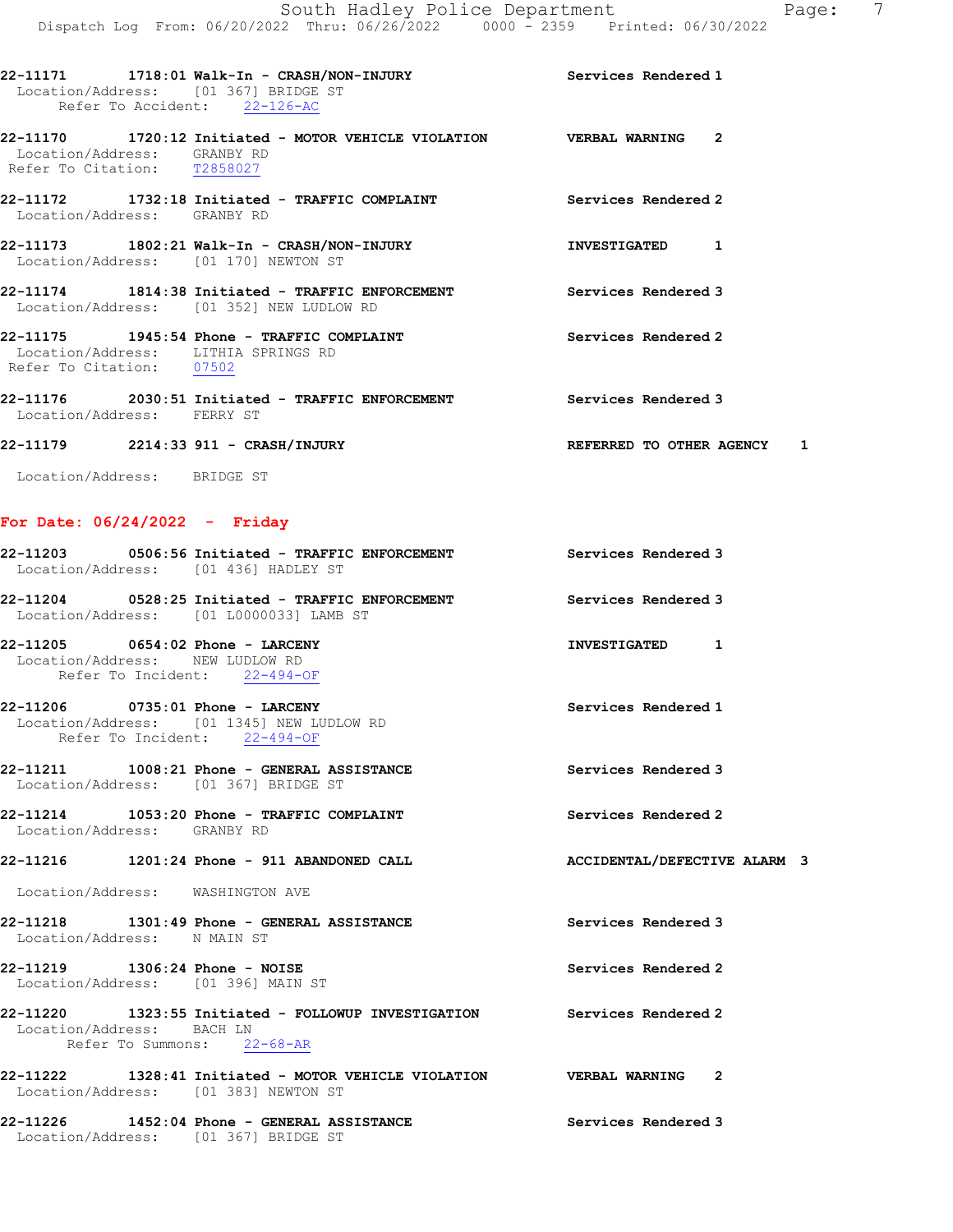- 22-11170 1720:12 Initiated MOTOR VEHICLE VIOLATION VERBAL WARNING 2 Location/Address: GRANBY RD Refer To Citation: T2858027
- 22-11172 1732:18 Initiated TRAFFIC COMPLAINT Services Rendered 2 Location/Address: GRANBY RD
- 22-11173 1802:21 Walk-In CRASH/NON-INJURY INVESTIGATED 1 Location/Address: [01 170] NEWTON ST
- 22-11174 1814:38 Initiated TRAFFIC ENFORCEMENT Services Rendered 3 Location/Address: [01 352] NEW LUDLOW RD
- 22-11175 1945:54 Phone TRAFFIC COMPLAINT Services Rendered 2 Location/Address: LITHIA SPRINGS RD Refer To Citation: 07502
- 22-11176 2030:51 Initiated TRAFFIC ENFORCEMENT Services Rendered 3 Location/Address: FERRY ST

## 22-11179 2214:33 911 - CRASH/INJURY REFERRED TO OTHER AGENCY 1

Location/Address: BRIDGE ST

## For Date: 06/24/2022 - Friday

| 22-11203 0506:56 Initiated - TRAFFIC ENFORCEMENT Services Rendered 3<br>Location/Address: [01 436] HADLEY ST                       |                     |
|------------------------------------------------------------------------------------------------------------------------------------|---------------------|
| 22-11204 		 0528:25 Initiated - TRAFFIC ENFORCEMENT 			 Services Rendered 3<br>Location/Address: [01 L0000033] LAMB ST             |                     |
| 22-11205 0654:02 Phone - LARCENY<br>Location/Address: NEW LUDLOW RD<br>Refer To Incident: 22-494-OF                                | INVESTIGATED 1      |
| 22-11206 0735:01 Phone - LARCENY<br>Location/Address: [01 1345] NEW LUDLOW RD<br>Refer To Incident: 22-494-OF                      | Services Rendered 1 |
| 22-11211   1008:21 Phone - GENERAL ASSISTANCE<br>Location/Address: [01 367] BRIDGE ST                                              | Services Rendered 3 |
| 22-11214 1053:20 Phone - TRAFFIC COMPLAINT<br>Location/Address: GRANBY RD                                                          | Services Rendered 2 |
| 22-11216 1201:24 Phone - 911 ABANDONED CALL ACCIDENTAL/DEFECTIVE ALARM 3                                                           |                     |
| Location/Address: WASHINGTON AVE                                                                                                   |                     |
| 22-11218 1301:49 Phone - GENERAL ASSISTANCE<br>Location/Address: N MAIN ST                                                         | Services Rendered 3 |
| 22-11219    1306:24 Phone - NOISE<br>Location/Address: [01 396] MAIN ST                                                            | Services Rendered 2 |
| 22-11220 1323:55 Initiated - FOLLOWUP INVESTIGATION Services Rendered 2<br>Location/Address: BACH LN<br>Refer To Summons: 22-68-AR |                     |
| 22-11222 1328:41 Initiated - MOTOR VEHICLE VIOLATION VERBAL WARNING 2<br>Location/Address: [01 383] NEWTON ST                      |                     |
| 22-11226 1452:04 Phone - GENERAL ASSISTANCE<br>Location/Address: [01 367] BRIDGE ST                                                | Services Rendered 3 |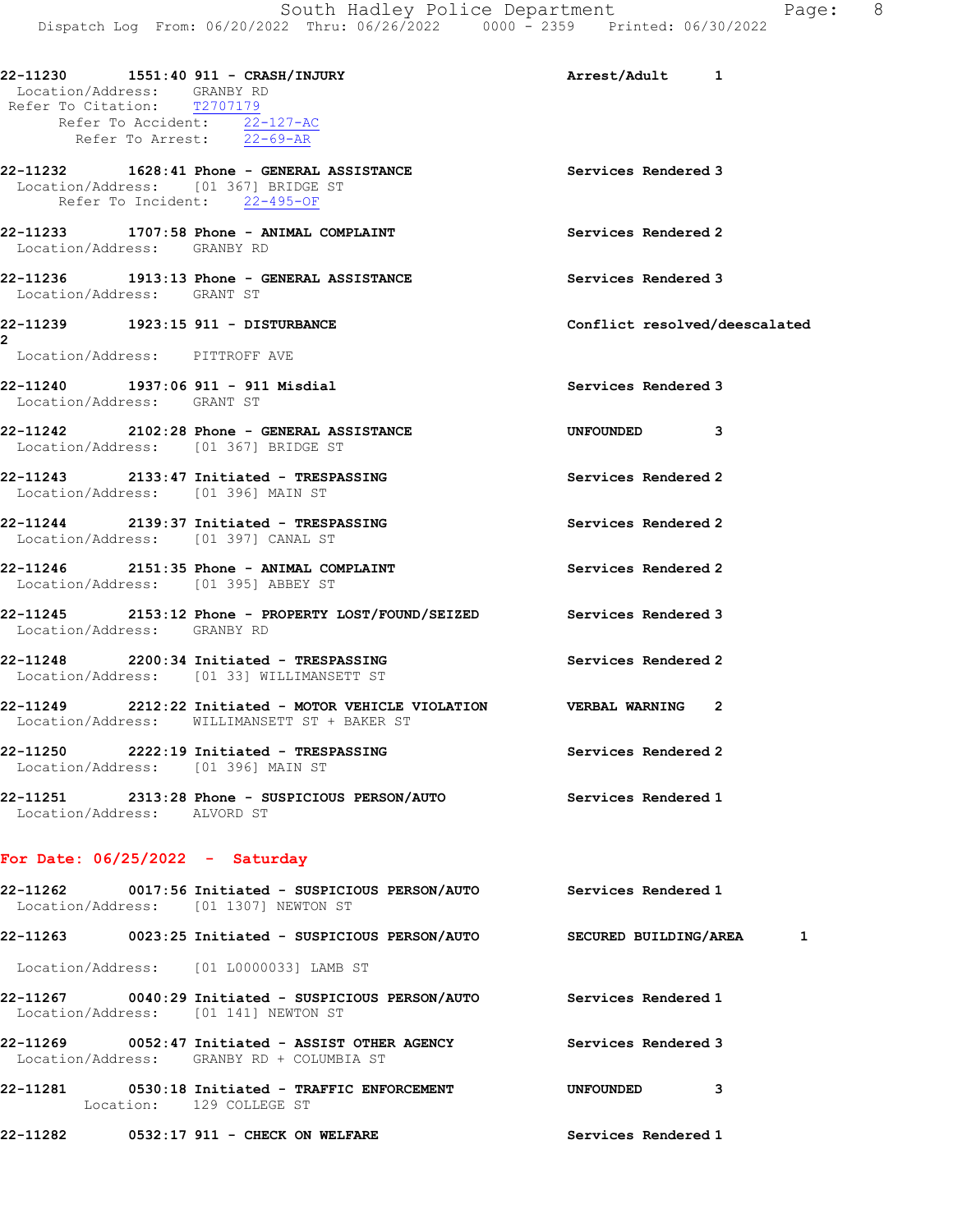| Location/Address: GRANBY RD<br>Refer To Citation: T2707179 | 22-11230   1551:40   911 - CRASH/INJURY<br>Refer To Accident: 22-127-AC<br>Refer To Arrest: 22-69-AR                  | Arrest/Adult 1                |
|------------------------------------------------------------|-----------------------------------------------------------------------------------------------------------------------|-------------------------------|
| Location/Address: [01 367] BRIDGE ST                       | 22-11232 1628:41 Phone - GENERAL ASSISTANCE<br>Refer To Incident: 22-495-OF                                           | Services Rendered 3           |
| Location/Address: GRANBY RD                                | 22-11233 1707:58 Phone - ANIMAL COMPLAINT                                                                             | Services Rendered 2           |
| Location/Address: GRANT ST                                 | 22-11236 1913:13 Phone - GENERAL ASSISTANCE                                                                           | Services Rendered 3           |
| 22-11239 1923:15 911 - DISTURBANCE                         |                                                                                                                       | Conflict resolved/deescalated |
| 2<br>Location/Address: PITTROFF AVE                        |                                                                                                                       |                               |
| Location/Address: GRANT ST                                 | 22-11240    1937:06    911 - 911 Misdial                                                                              | Services Rendered 3           |
|                                                            | 22-11242 2102:28 Phone - GENERAL ASSISTANCE<br>Location/Address: [01 367] BRIDGE ST                                   | UNFOUNDED 3                   |
| Location/Address: [01 396] MAIN ST                         | 22-11243 2133:47 Initiated - TRESPASSING                                                                              | Services Rendered 2           |
| Location/Address: [01 397] CANAL ST                        | 22-11244 2139:37 Initiated - TRESPASSING                                                                              | Services Rendered 2           |
| Location/Address: [01 395] ABBEY ST                        | 22-11246 2151:35 Phone - ANIMAL COMPLAINT                                                                             | Services Rendered 2           |
| Location/Address: GRANBY RD                                | 22-11245 2153:12 Phone - PROPERTY LOST/FOUND/SEIZED Services Rendered 3                                               |                               |
|                                                            | 22-11248 2200:34 Initiated - TRESPASSING<br>Location/Address: [01 33] WILLIMANSETT ST                                 | Services Rendered 2           |
|                                                            | 22-11249 2212:22 Initiated - MOTOR VEHICLE VIOLATION VERBAL WARNING 2<br>Location/Address: WILLIMANSETT ST + BAKER ST |                               |
| Location/Address: [01 396] MAIN ST                         | 22-11250 2222:19 Initiated - TRESPASSING                                                                              | Services Rendered 2           |
| Location/Address: ALVORD ST                                | 22-11251 2313:28 Phone - SUSPICIOUS PERSON/AUTO Services Rendered 1                                                   |                               |
| For Date: $06/25/2022 -$ Saturday                          |                                                                                                                       |                               |
|                                                            | Location/Address: [01 1307] NEWTON ST                                                                                 | Services Rendered 1           |
|                                                            | 22-11263 0023:25 Initiated - SUSPICIOUS PERSON/AUTO SECURED BUILDING/AREA 1                                           |                               |
|                                                            | Location/Address: [01 L0000033] LAMB ST                                                                               |                               |
|                                                            | 22-11267 0040:29 Initiated - SUSPICIOUS PERSON/AUTO Services Rendered 1<br>Location/Address: [01 141] NEWTON ST       |                               |
|                                                            | 22-11269 0052:47 Initiated - ASSIST OTHER AGENCY Services Rendered 3<br>Location/Address: GRANBY RD + COLUMBIA ST     |                               |

22-11281 0530:18 Initiated - TRAFFIC ENFORCEMENT UNFOUNDED 3 Location: 129 COLLEGE ST

22-11282 0532:17 911 - CHECK ON WELFARE Services Rendered 1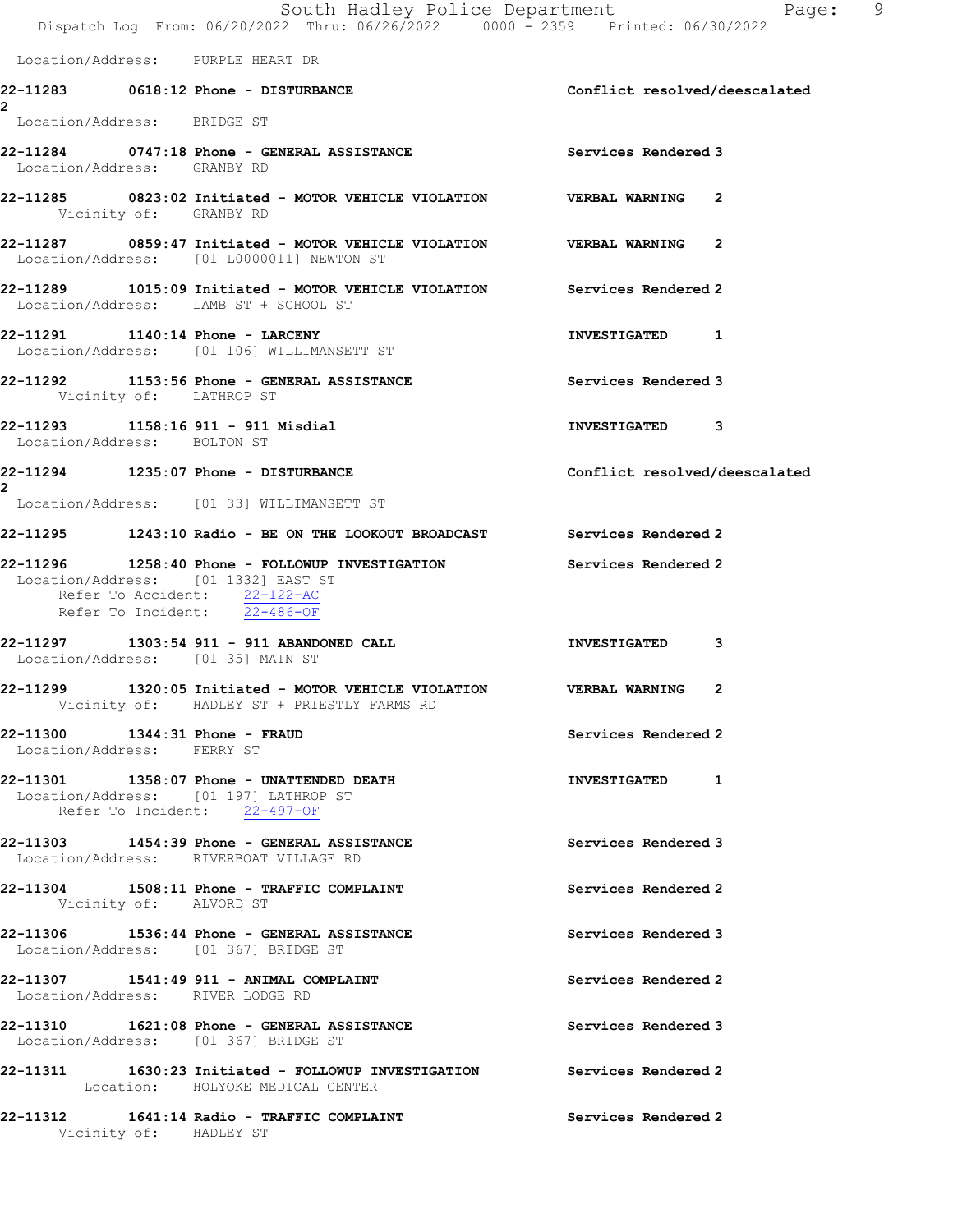|              |  |                                                                                                     |                                                                                       | South Hadley Police Department<br>Dispatch Log From: 06/20/2022 Thru: 06/26/2022 0000 - 2359 Printed: 06/30/2022 |                     |                               | Page: 9 |
|--------------|--|-----------------------------------------------------------------------------------------------------|---------------------------------------------------------------------------------------|------------------------------------------------------------------------------------------------------------------|---------------------|-------------------------------|---------|
|              |  | Location/Address: PURPLE HEART DR                                                                   |                                                                                       |                                                                                                                  |                     |                               |         |
|              |  |                                                                                                     | 22-11283 0618:12 Phone - DISTURBANCE                                                  |                                                                                                                  |                     | Conflict resolved/deescalated |         |
|              |  | Location/Address: BRIDGE ST                                                                         |                                                                                       |                                                                                                                  |                     |                               |         |
|              |  | Location/Address: GRANBY RD                                                                         |                                                                                       | Services Rendered 3                                                                                              |                     |                               |         |
|              |  | Vicinity of: GRANBY RD                                                                              |                                                                                       | 22-11285 0823:02 Initiated - MOTOR VEHICLE VIOLATION VERBAL WARNING 2                                            |                     |                               |         |
|              |  |                                                                                                     | Location/Address: [01 L0000011] NEWTON ST                                             | 22-11287 0859:47 Initiated - MOTOR VEHICLE VIOLATION VERBAL WARNING 2                                            |                     |                               |         |
|              |  |                                                                                                     | Location/Address: LAMB ST + SCHOOL ST                                                 | 22-11289 1015:09 Initiated - MOTOR VEHICLE VIOLATION Services Rendered 2                                         |                     |                               |         |
|              |  |                                                                                                     | 22-11291    1140:14 Phone - LARCENY<br>Location/Address: [01 106] WILLIMANSETT ST     |                                                                                                                  | INVESTIGATED 1      |                               |         |
|              |  | Vicinity of: LATHROP ST                                                                             | 22-11292 1153:56 Phone - GENERAL ASSISTANCE                                           |                                                                                                                  | Services Rendered 3 |                               |         |
|              |  | Location/Address: BOLTON ST                                                                         | 22-11293    1158:16    911 - 911 Misdial                                              |                                                                                                                  | INVESTIGATED 3      |                               |         |
| $\mathbf{2}$ |  |                                                                                                     | 22-11294 1235:07 Phone - DISTURBANCE                                                  |                                                                                                                  |                     | Conflict resolved/deescalated |         |
|              |  |                                                                                                     | Location/Address: [01 33] WILLIMANSETT ST                                             |                                                                                                                  |                     |                               |         |
|              |  |                                                                                                     |                                                                                       | 22-11295 1243:10 Radio - BE ON THE LOOKOUT BROADCAST Services Rendered 2                                         |                     |                               |         |
|              |  | Location/Address: [01 1332] EAST ST<br>Refer To Accident: 22-122-AC<br>Refer To Incident: 22-486-OF |                                                                                       | 22-11296 1258:40 Phone - FOLLOWUP INVESTIGATION Services Rendered 2                                              |                     |                               |         |
|              |  | Location/Address: [01 35] MAIN ST                                                                   |                                                                                       | 22-11297 1303:54 911 - 911 ABANDONED CALL                                                                        | INVESTIGATED 3      |                               |         |
|              |  |                                                                                                     | Vicinity of: HADLEY ST + PRIESTLY FARMS RD                                            | 22-11299 1320:05 Initiated - MOTOR VEHICLE VIOLATION VERBAL WARNING 2                                            |                     |                               |         |
|              |  | 22-11300   1344:31   Phone - FRAUD<br>Location/Address: FERRY ST                                    |                                                                                       |                                                                                                                  | Services Rendered 2 |                               |         |
|              |  | Refer To Incident: 22-497-OF                                                                        | 22-11301 1358:07 Phone - UNATTENDED DEATH<br>Location/Address: [01 197] LATHROP ST    |                                                                                                                  | INVESTIGATED 1      |                               |         |
|              |  |                                                                                                     | 22-11303 1454:39 Phone - GENERAL ASSISTANCE<br>Location/Address: RIVERBOAT VILLAGE RD |                                                                                                                  | Services Rendered 3 |                               |         |
|              |  | Vicinity of: ALVORD ST                                                                              | $22-11304$ 1508:11 Phone - TRAFFIC COMPLAINT                                          |                                                                                                                  | Services Rendered 2 |                               |         |
|              |  | Location/Address: [01 367] BRIDGE ST                                                                | 22-11306 1536:44 Phone - GENERAL ASSISTANCE                                           | Services Rendered 3                                                                                              |                     |                               |         |
|              |  | Location/Address: RIVER LODGE RD                                                                    | 22-11307 1541:49 911 - ANIMAL COMPLAINT                                               |                                                                                                                  | Services Rendered 2 |                               |         |
|              |  | Location/Address: [01 367] BRIDGE ST                                                                |                                                                                       |                                                                                                                  | Services Rendered 3 |                               |         |
|              |  |                                                                                                     | Location: HOLYOKE MEDICAL CENTER                                                      | 22-11311 1630:23 Initiated - FOLLOWUP INVESTIGATION Services Rendered 2                                          |                     |                               |         |
|              |  |                                                                                                     | 22-11312 1641:14 Radio - TRAFFIC COMPLAINT                                            |                                                                                                                  | Services Rendered 2 |                               |         |

Vicinity of: HADLEY ST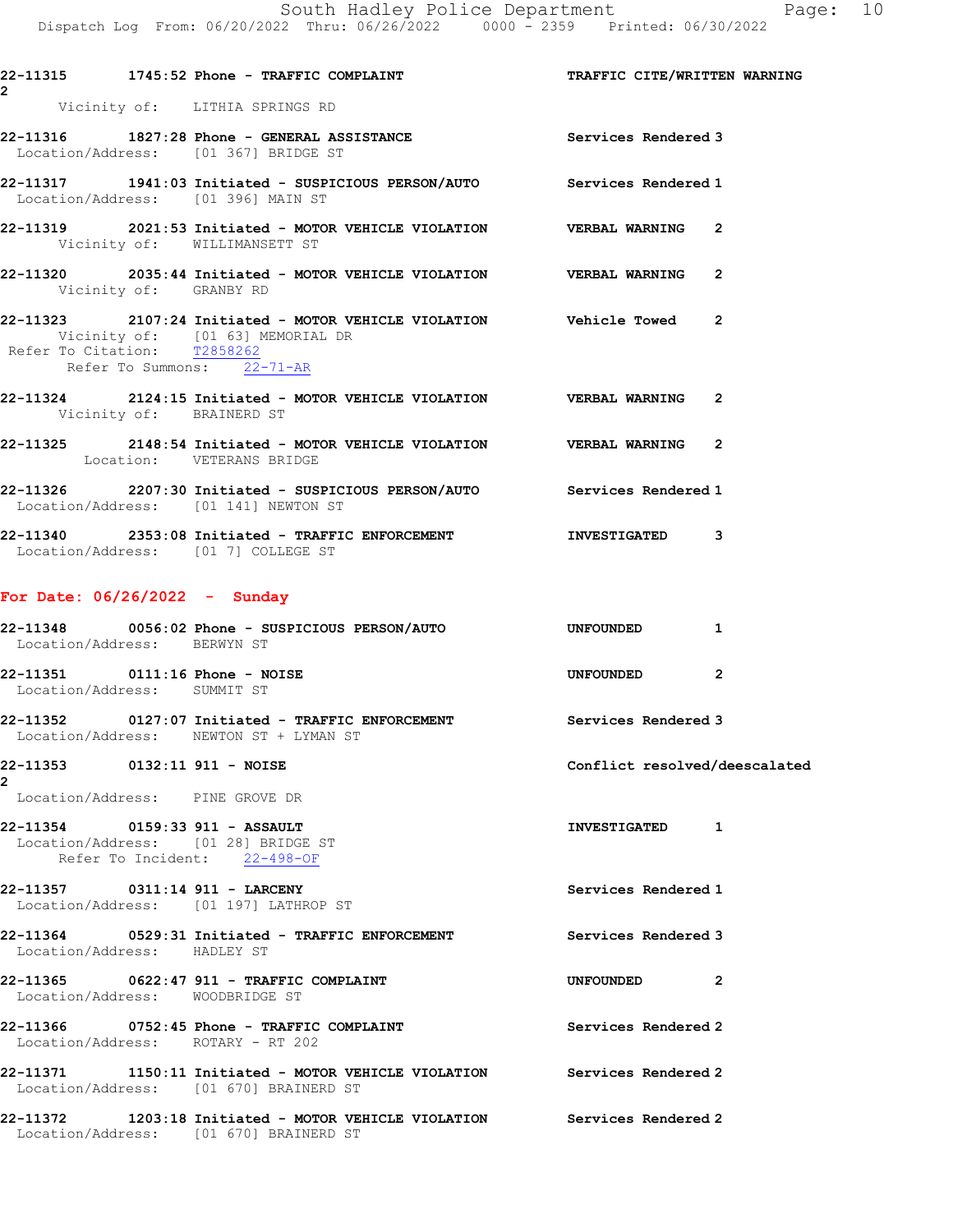Dispatch Log From: 06/20/2022 Thru: 06/26/2022 0000 - 2359 Printed: 06/30/2022 22-11315 1745:52 Phone - TRAFFIC COMPLAINT TRAFFIC CITE/WRITTEN WARNING 2 Vicinity of: LITHIA SPRINGS RD 22-11316 1827:28 Phone - GENERAL ASSISTANCE Services Rendered 3 Location/Address: [01 367] BRIDGE ST 22-11317 1941:03 Initiated - SUSPICIOUS PERSON/AUTO Services Rendered 1 Location/Address: [01 396] MAIN ST 22-11319 2021:53 Initiated - MOTOR VEHICLE VIOLATION VERBAL WARNING 2 Vicinity of: WILLIMANSETT ST 22-11320 2035:44 Initiated - MOTOR VEHICLE VIOLATION VERBAL WARNING 2 Vicinity of: GRANBY RD 22-11323 2107:24 Initiated - MOTOR VEHICLE VIOLATION Vehicle Towed 2 Vicinity of: [01 63] MEMORIAL DR Refer To Citation: T2858262 Refer To Summons: 22-71-AR 22-11324 2124:15 Initiated - MOTOR VEHICLE VIOLATION VERBAL WARNING 2 Vicinity of: BRAINERD ST 22-11325 2148:54 Initiated - MOTOR VEHICLE VIOLATION VERBAL WARNING 2 Location: VETERANS BRIDGE 22-11326 2207:30 Initiated - SUSPICIOUS PERSON/AUTO Services Rendered 1 Location/Address: [01 141] NEWTON ST 22-11340 2353:08 Initiated - TRAFFIC ENFORCEMENT **INVESTIGATED** 3 Location/Address: [01 7] COLLEGE ST For Date: 06/26/2022 - Sunday 22-11348 0056:02 Phone - SUSPICIOUS PERSON/AUTO UNFOUNDED 1 Location/Address: BERWYN ST 22-11351 0111:16 Phone - NOISE 2 Location/Address: SUMMIT ST 22-11352 0127:07 Initiated - TRAFFIC ENFORCEMENT Services Rendered 3 Location/Address: NEWTON ST + LYMAN ST 22-11353 0132:11 911 - NOISE Conflict resolved/deescalated 2 Location/Address: PINE GROVE DR 22-11354 0159:33 911 - ASSAULT INVESTIGATED 1 Location/Address: [01 28] BRIDGE ST Refer To Incident: 22-498-OF 22-11357 0311:14 911 - LARCENY Services Rendered 1 Location/Address: [01 197] LATHROP ST 22-11364 0529:31 Initiated - TRAFFIC ENFORCEMENT Services Rendered 3 Location/Address: HADLEY ST 22-11365 0622:47 911 - TRAFFIC COMPLAINT UNFOUNDED 2 Location/Address: WOODBRIDGE ST 22-11366 0752:45 Phone - TRAFFIC COMPLAINT Services Rendered 2 Location/Address: ROTARY - RT 202

22-11371 1150:11 Initiated - MOTOR VEHICLE VIOLATION Services Rendered 2 Location/Address: [01 670] BRAINERD ST

22-11372 1203:18 Initiated - MOTOR VEHICLE VIOLATION Services Rendered 2 Location/Address: [01 670] BRAINERD ST